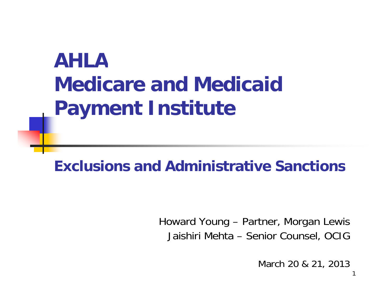## **AHLAMedicare and Medicaid Payment Institute**

#### **Exclusions and Administrative Sanctions**

Howard Young – Partner, Morgan Lewis Jaishiri Mehta – Senior Counsel, OCIG

March 20 & 21, 2013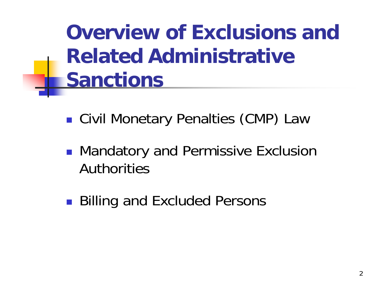**Overview of Exclusions and Related AdministrativeSanctions**

- T. Civil Monetary Penalties (CMP) Law
- T. **• Mandatory and Permissive Exclusion** Authorities
- T. ■ Billing and Excluded Persons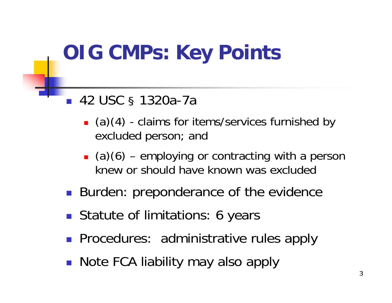#### **OIG CMPs: Key Points :**

- $\overline{\mathbb{R}}$  42 USC § 1320a-7a
	- (a)(4) claims for items/services furnished by excluded person; and
	- $\Box$  (a)(6) employing or contracting with a person knew or should have known was excluded
- **Burden: preponderance of the evidence**
- **Statute of limitations: 6 years**
- **Procedures: administrative rules apply**
- Note FCA liability may also apply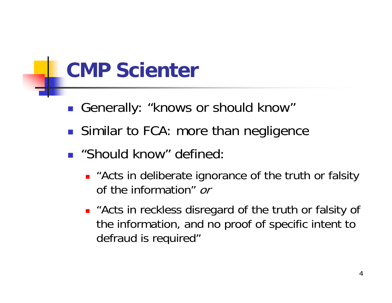## **CMP Scienter**

- Generally: "knows or should know"
- **Similar to FCA: more than negligence**
- **.** "Should know" defined:
	- **E** "Acts in deliberate ignorance of the truth or falsity of the information" or
	- " "Acts in reckless disregard of the truth or falsity of the information, and no proof of specific intent to defraud is required"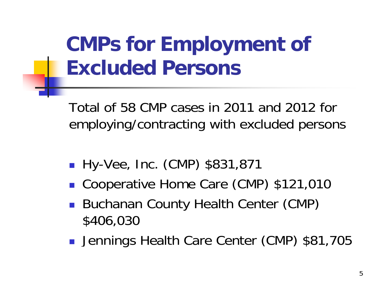## **CMPs for Employment of Excluded Persons**

Total of 58 CMP cases in 2011 and 2012 for employing/contracting with excluded persons

- **Hy-Vee, Inc. (CMP) \$831,871**
- Cooperative Home Care (CMP) \$121,010
- **Buchanan County Health Center (CMP)** \$406,030
- **Jennings Health Care Center (CMP) \$81,705**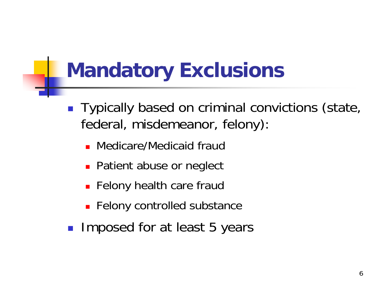## **Mandatory Exclusions**

- **Typically based on criminal convictions (state,** federal, misdemeanor, felony):
	- **Medicare/Medicaid fraud**
	- **Patient abuse or neglect**
	- **Felony health care fraud**
	- **Felony controlled substance**
- **Imposed for at least 5 years**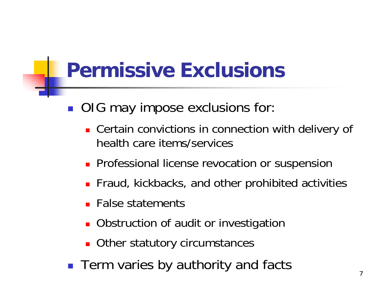## **Permissive Exclusions**

- OIG may impose exclusions for:
	- **Certain convictions in connection with delivery of** health care items/services
	- **Professional license revocation or suspension**
	- **Fiaud, kickbacks, and other prohibited activities**
	- **False statements**
	- **Diangle 20 Interpolation** of audit or investigation
	- **Other statutory circumstances**
- Term varies by authority and facts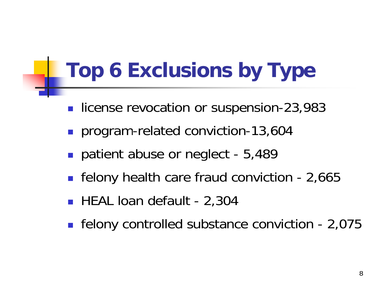## **Top 6 Exclusions by Type**

- license revocation or suspension-23,983
- **program-related conviction-13,604**
- patient abuse or neglect 5,489
- felony health care fraud conviction 2,665
- HEAL loan default 2,304
- **Figure 1** felony controlled substance conviction 2,075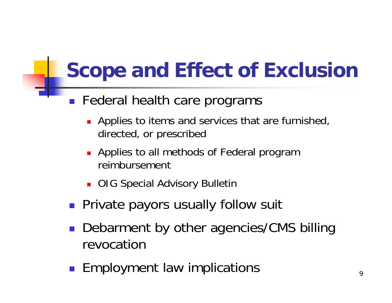## **Scope and Effect of Exclusion**

- $\blacksquare$  Federal health care programs
	- **Applies to items and services that are furnished,** directed, or prescribed
	- **Applies to all methods of Federal program** reimbursement
	- **DIG Special Advisory Bulletin**
- **Private payors usually follow suit**
- **Debarment by other agencies/CMS billing** revocation
- **Employment law implications**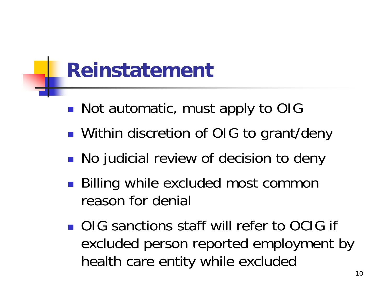## **Reinstatement**

- H ■ Not automatic, must apply to OIG
- H **Nithin discretion of OIG to grant/deny**
- F. **No judicial review of decision to deny**
- $\Box$ ■ Billing while excluded most common reason for denial
- **OIG** sanctions staff will refer to OCIG if excluded person reported employment by health care entity while excluded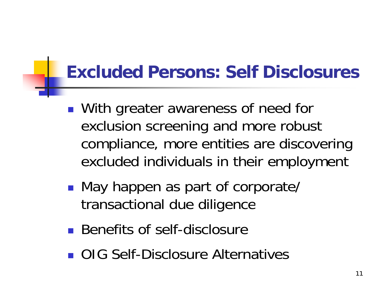#### **Excluded Persons: Self Disclosures**

- $\Box$ ■ With greater awareness of need for exclusion screenin g and more robust compliance, more entities are discovering excluded individuals in their employment
- $\Box$ ■ May happen as part of corporate/ transactional due diligence
- Benefits of self-disclosure
- **OIG Self-Disclosure Alternatives**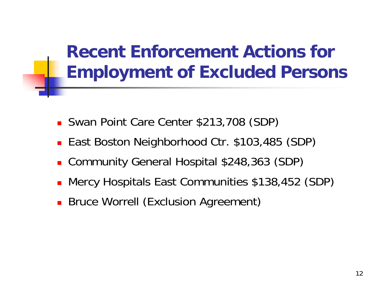#### **Recent Enforcement Actions for Employment of Excluded Persons**

- Swan Point Care Center \$213,708 (SDP)
- East Boston Neighborhood Ctr. \$103,485 (SDP)
- Community General Hospital \$248,363 (SDP)
- Mercy Hospitals East Communities \$138,452 (SDP)
- **Bruce Worrell (Exclusion Agreement)**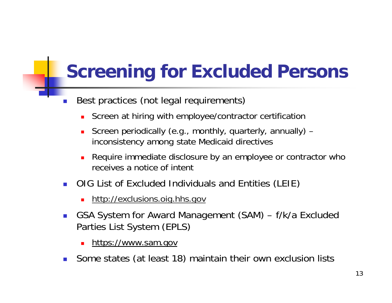#### **Screening for Excluded Persons**

- F. Best practices (not legal requirements)
	- **Screen at hiring with employee/contractor certification**
	- **S** Screen periodically (e.g., monthly, quarterly, annually) – inconsistency among state Medicaid directives
	- Require immediate disclosure by an employee or contractor who receives a notice of intent
- **DIG List of Excluded Individuals and Entities (LEIE)** 
	- <u>http://exclusions.oig.hhs.gov.</u>
- $\mathcal{A}$  GSA System for Award Management (SAM) – f/k/a Excluded Parties List System (EPLS)
	- <u>- https://www.sam.gov</u>
- F. Some states (at least 18) maintain their own exclusion lists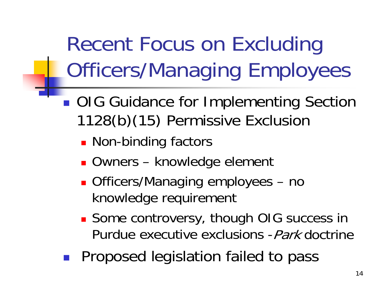Recent Focus on Excluding Officers/Mana gin g Employees

- ■ OIG Guidance for Implementing Section 1128(b)(15) Permissive Exclusion
	- **Non-binding factors**
	- Owners knowledge element
	- **Deal Contact Controls 10 and 7 and 7 and 7 and 7 and 7 and 7 and 7 and 7 and 7 and 7 and 7 and 7 and 7 and 7 and 7 and 7 and 7 and 7 and 7 and 7 and 7 and 7 and 7 and 7 and 7 and 7 and 7 and 7 and 7 and 7 and 7 and 7 and** knowledge requirement
	- **Some controversy, though OIG success in** Purdue executive exclusions -Park doctrine
- $\mathcal{L}^{\text{max}}_{\text{max}}$ Proposed legislation failed to pass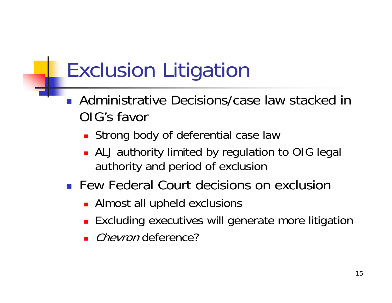# Exclusion Liti gation

- $\overline{\mathbb{R}}$ Administrative Decisions/case law stacked in OIG's favor
	- **Strong body of deferential case law**
	- **ALJ** authority limited by regulation to OIG legal authority and period of exclusion
- **Few Federal Court decisions on exclusion** 
	- Almost all upheld exclusions
	- **Excluding executives will generate more litigation**
	- *Chevron* deference?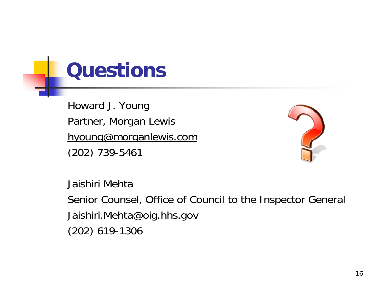#### **Questions**

Howard J. Young Partner, Morgan Lewis <u>h young@morganlewis.com</u> (202) 739-5461



Jaishiri Mehta

Senior Counsel, Office of Council to the Inspector General Jaishiri.Mehta@oig.hhs.gov

(202) 619-1306